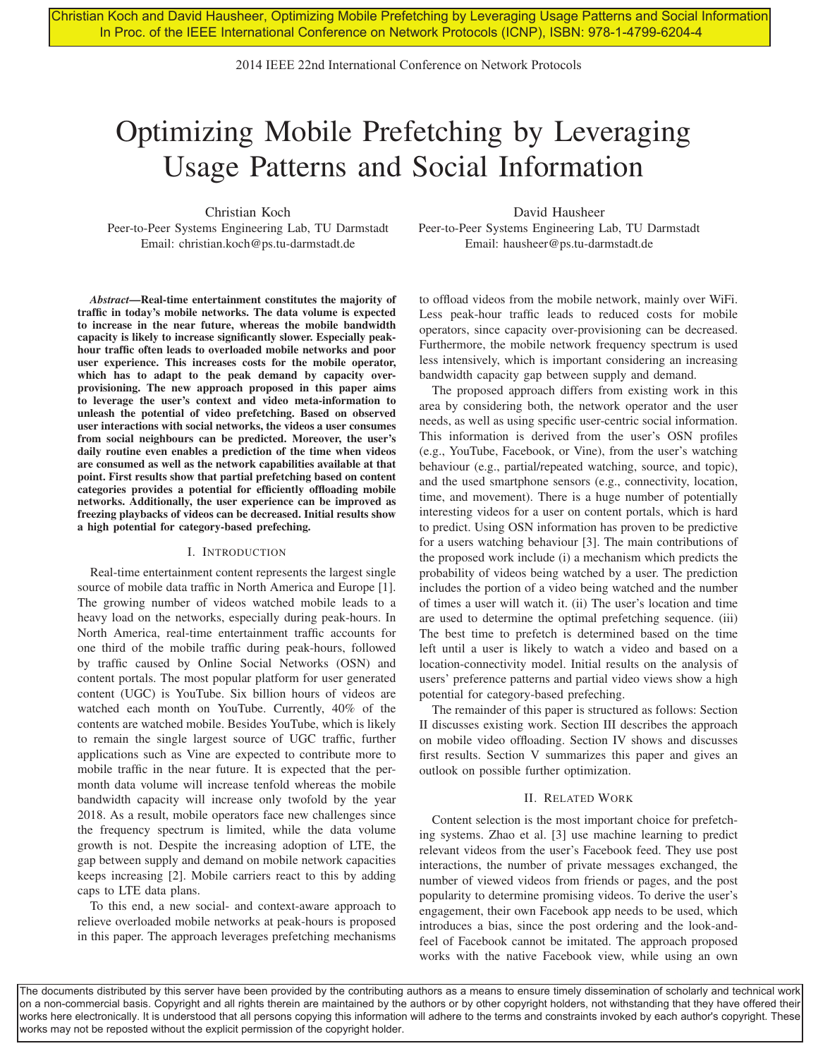Christian Koch and David Hausheer, Optimizing Mobile Prefetching by Leveraging Usage Patterns and Social Information In Proc. of the IEEE International Conference on Network Protocols (ICNP), ISBN: 978-1-4799-6204-4

2014 IEEE 22nd International Conference on Network Protocols

# Optimizing Mobile Prefetching by Leveraging Usage Patterns and Social Information

Christian Koch Peer-to-Peer Systems Engineering Lab, TU Darmstadt Email: christian.koch@ps.tu-darmstadt.de

*Abstract*—Real-time entertainment constitutes the majority of traffic in today's mobile networks. The data volume is expected to increase in the near future, whereas the mobile bandwidth capacity is likely to increase significantly slower. Especially peakhour traffic often leads to overloaded mobile networks and poor user experience. This increases costs for the mobile operator, which has to adapt to the peak demand by capacity overprovisioning. The new approach proposed in this paper aims to leverage the user's context and video meta-information to unleash the potential of video prefetching. Based on observed user interactions with social networks, the videos a user consumes from social neighbours can be predicted. Moreover, the user's daily routine even enables a prediction of the time when videos are consumed as well as the network capabilities available at that point. First results show that partial prefetching based on content categories provides a potential for efficiently offloading mobile networks. Additionally, the user experience can be improved as freezing playbacks of videos can be decreased. Initial results show a high potential for category-based prefeching.

#### I. INTRODUCTION

Real-time entertainment content represents the largest single source of mobile data traffic in North America and Europe [1]. The growing number of videos watched mobile leads to a heavy load on the networks, especially during peak-hours. In North America, real-time entertainment traffic accounts for one third of the mobile traffic during peak-hours, followed by traffic caused by Online Social Networks (OSN) and content portals. The most popular platform for user generated content (UGC) is YouTube. Six billion hours of videos are watched each month on YouTube. Currently, 40% of the contents are watched mobile. Besides YouTube, which is likely to remain the single largest source of UGC traffic, further applications such as Vine are expected to contribute more to mobile traffic in the near future. It is expected that the permonth data volume will increase tenfold whereas the mobile bandwidth capacity will increase only twofold by the year 2018. As a result, mobile operators face new challenges since the frequency spectrum is limited, while the data volume growth is not. Despite the increasing adoption of LTE, the gap between supply and demand on mobile network capacities keeps increasing [2]. Mobile carriers react to this by adding caps to LTE data plans.

To this end, a new social- and context-aware approach to relieve overloaded mobile networks at peak-hours is proposed in this paper. The approach leverages prefetching mechanisms

David Hausheer Peer-to-Peer Systems Engineering Lab, TU Darmstadt Email: hausheer@ps.tu-darmstadt.de

to offload videos from the mobile network, mainly over WiFi. Less peak-hour traffic leads to reduced costs for mobile operators, since capacity over-provisioning can be decreased. Furthermore, the mobile network frequency spectrum is used less intensively, which is important considering an increasing bandwidth capacity gap between supply and demand.

The proposed approach differs from existing work in this area by considering both, the network operator and the user needs, as well as using specific user-centric social information. This information is derived from the user's OSN profiles (e.g., YouTube, Facebook, or Vine), from the user's watching behaviour (e.g., partial/repeated watching, source, and topic), and the used smartphone sensors (e.g., connectivity, location, time, and movement). There is a huge number of potentially interesting videos for a user on content portals, which is hard to predict. Using OSN information has proven to be predictive for a users watching behaviour [3]. The main contributions of the proposed work include (i) a mechanism which predicts the probability of videos being watched by a user. The prediction includes the portion of a video being watched and the number of times a user will watch it. (ii) The user's location and time are used to determine the optimal prefetching sequence. (iii) The best time to prefetch is determined based on the time left until a user is likely to watch a video and based on a location-connectivity model. Initial results on the analysis of users' preference patterns and partial video views show a high potential for category-based prefeching.

The remainder of this paper is structured as follows: Section II discusses existing work. Section III describes the approach on mobile video offloading. Section IV shows and discusses first results. Section V summarizes this paper and gives an outlook on possible further optimization.

#### II. RELATED WORK

Content selection is the most important choice for prefetching systems. Zhao et al. [3] use machine learning to predict relevant videos from the user's Facebook feed. They use post interactions, the number of private messages exchanged, the number of viewed videos from friends or pages, and the post popularity to determine promising videos. To derive the user's engagement, their own Facebook app needs to be used, which introduces a bias, since the post ordering and the look-andfeel of Facebook cannot be imitated. The approach proposed works with the native Facebook view, while using an own

The documents distributed by this server have been provided by the contributing authors as a means to ensure timely dissemination of scholarly and technical work on a non-commercial basis. Copyright and all rights therein are maintained by the authors or by other copyright holders, not withstanding that they have offered their works here electronically. It is understood that all persons copying this information will adhere to the terms and constraints invoked by each author's copyright. These works may not be reposted without the explicit permission of the copyright holder.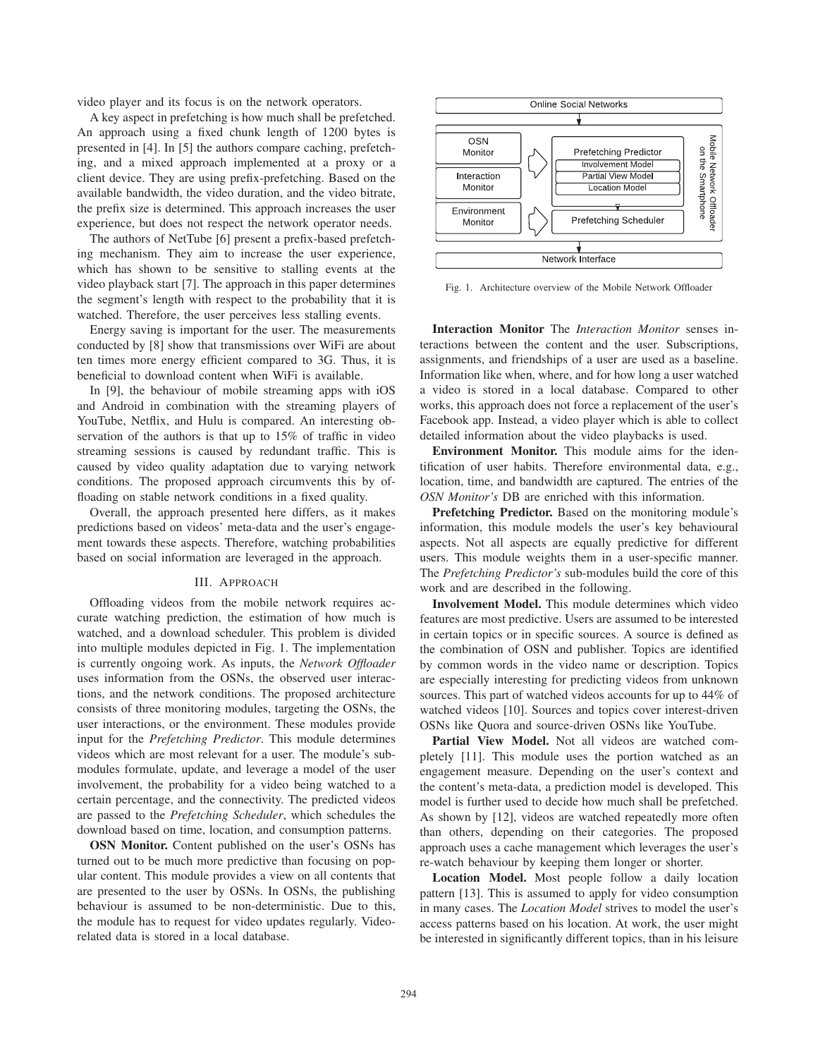video player and its focus is on the network operators.

A key aspect in prefetching is how much shall be prefetched. An approach using a fixed chunk length of 1200 bytes is presented in [4]. In [5] the authors compare caching, prefetching, and a mixed approach implemented at a proxy or a client device. They are using prefix-prefetching. Based on the available bandwidth, the video duration, and the video bitrate, the prefix size is determined. This approach increases the user experience, but does not respect the network operator needs.

The authors of NetTube [6] present a prefix-based prefetching mechanism. They aim to increase the user experience, which has shown to be sensitive to stalling events at the video playback start [7]. The approach in this paper determines the segment's length with respect to the probability that it is watched. Therefore, the user perceives less stalling events.

Energy saving is important for the user. The measurements conducted by [8] show that transmissions over WiFi are about ten times more energy efficient compared to 3G. Thus, it is beneficial to download content when WiFi is available.

In [9], the behaviour of mobile streaming apps with iOS and Android in combination with the streaming players of YouTube, Netflix, and Hulu is compared. An interesting observation of the authors is that up to 15% of traffic in video streaming sessions is caused by redundant traffic. This is caused by video quality adaptation due to varying network conditions. The proposed approach circumvents this by offloading on stable network conditions in a fixed quality.

Overall, the approach presented here differs, as it makes predictions based on videos' meta-data and the user's engagement towards these aspects. Therefore, watching probabilities based on social information are leveraged in the approach.

## III. APPROACH

Offloading videos from the mobile network requires accurate watching prediction, the estimation of how much is watched, and a download scheduler. This problem is divided into multiple modules depicted in Fig. 1. The implementation is currently ongoing work. As inputs, the *Network Offloader* uses information from the OSNs, the observed user interactions, and the network conditions. The proposed architecture consists of three monitoring modules, targeting the OSNs, the user interactions, or the environment. These modules provide input for the *Prefetching Predictor*. This module determines videos which are most relevant for a user. The module's submodules formulate, update, and leverage a model of the user involvement, the probability for a video being watched to a certain percentage, and the connectivity. The predicted videos are passed to the *Prefetching Scheduler*, which schedules the download based on time, location, and consumption patterns.

OSN Monitor. Content published on the user's OSNs has turned out to be much more predictive than focusing on popular content. This module provides a view on all contents that are presented to the user by OSNs. In OSNs, the publishing behaviour is assumed to be non-deterministic. Due to this, the module has to request for video updates regularly. Videorelated data is stored in a local database.



Fig. 1. Architecture overview of the Mobile Network Offloader

Interaction Monitor The *Interaction Monitor* senses interactions between the content and the user. Subscriptions, assignments, and friendships of a user are used as a baseline. Information like when, where, and for how long a user watched a video is stored in a local database. Compared to other works, this approach does not force a replacement of the user's Facebook app. Instead, a video player which is able to collect detailed information about the video playbacks is used.

Environment Monitor. This module aims for the identification of user habits. Therefore environmental data, e.g., location, time, and bandwidth are captured. The entries of the *OSN Monitor's* DB are enriched with this information.

Prefetching Predictor. Based on the monitoring module's information, this module models the user's key behavioural aspects. Not all aspects are equally predictive for different users. This module weights them in a user-specific manner. The *Prefetching Predictor's* sub-modules build the core of this work and are described in the following.

Involvement Model. This module determines which video features are most predictive. Users are assumed to be interested in certain topics or in specific sources. A source is defined as the combination of OSN and publisher. Topics are identified by common words in the video name or description. Topics are especially interesting for predicting videos from unknown sources. This part of watched videos accounts for up to 44% of watched videos [10]. Sources and topics cover interest-driven OSNs like Quora and source-driven OSNs like YouTube.

Partial View Model. Not all videos are watched completely [11]. This module uses the portion watched as an engagement measure. Depending on the user's context and the content's meta-data, a prediction model is developed. This model is further used to decide how much shall be prefetched. As shown by [12], videos are watched repeatedly more often than others, depending on their categories. The proposed approach uses a cache management which leverages the user's re-watch behaviour by keeping them longer or shorter.

Location Model. Most people follow a daily location pattern [13]. This is assumed to apply for video consumption in many cases. The *Location Model* strives to model the user's access patterns based on his location. At work, the user might be interested in significantly different topics, than in his leisure